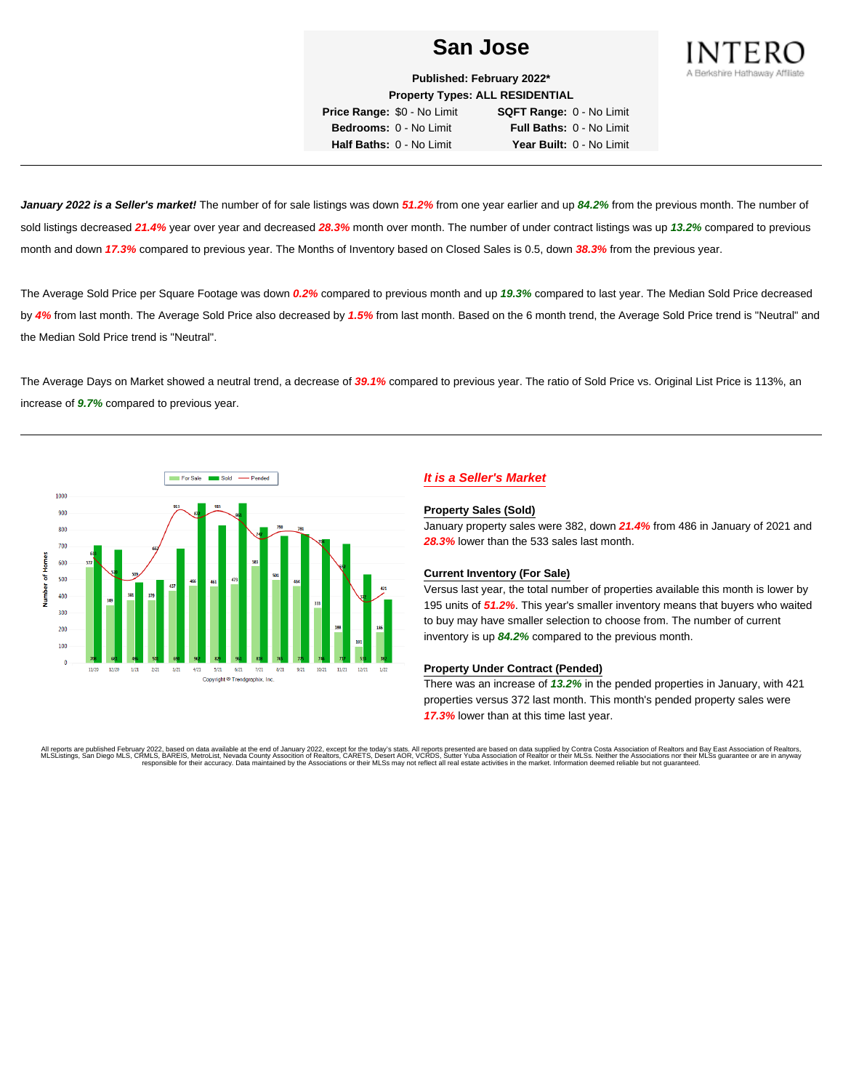

**Published: February 2022\* Property Types: ALL RESIDENTIAL**

**Price Range:** \$0 - No Limit **SQFT Range:** 0 - No Limit **Bedrooms:** 0 - No Limit **Full Baths:** 0 - No Limit **Half Baths:** 0 - No Limit **Year Built:** 0 - No Limit

**January 2022 is a Seller's market!** The number of for sale listings was down **51.2%** from one year earlier and up **84.2%** from the previous month. The number of sold listings decreased **21.4%** year over year and decreased **28.3%** month over month. The number of under contract listings was up **13.2%** compared to previous month and down **17.3%** compared to previous year. The Months of Inventory based on Closed Sales is 0.5, down **38.3%** from the previous year.

The Average Sold Price per Square Footage was down **0.2%** compared to previous month and up **19.3%** compared to last year. The Median Sold Price decreased by **4%** from last month. The Average Sold Price also decreased by **1.5%** from last month. Based on the 6 month trend, the Average Sold Price trend is "Neutral" and the Median Sold Price trend is "Neutral".

The Average Days on Market showed a neutral trend, a decrease of **39.1%** compared to previous year. The ratio of Sold Price vs. Original List Price is 113%, an increase of **9.7%** compared to previous year.



# **It is a Seller's Market**

### **Property Sales (Sold)**

January property sales were 382, down **21.4%** from 486 in January of 2021 and **28.3%** lower than the 533 sales last month.

### **Current Inventory (For Sale)**

Versus last year, the total number of properties available this month is lower by 195 units of **51.2%**. This year's smaller inventory means that buyers who waited to buy may have smaller selection to choose from. The number of current inventory is up **84.2%** compared to the previous month.

### **Property Under Contract (Pended)**

There was an increase of **13.2%** in the pended properties in January, with 421 properties versus 372 last month. This month's pended property sales were **17.3%** lower than at this time last year.

All reports are published February 2022, based on data available at the end of January 2022, except for the today's stats. All reports presented are based on data supplied by Contra Costa Association of Realtors and Bay Ea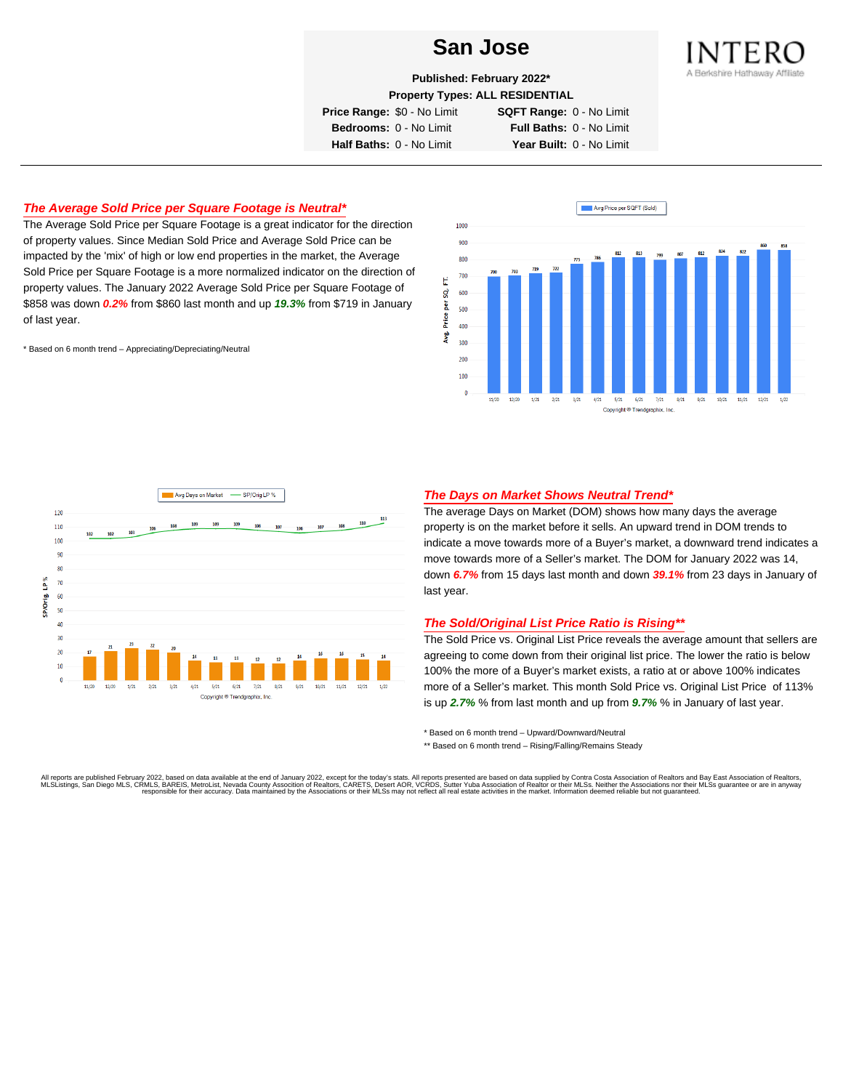

**Published: February 2022\***

**Property Types: ALL RESIDENTIAL**

**Price Range:** \$0 - No Limit **SQFT Range:** 0 - No Limit

**Bedrooms:** 0 - No Limit **Full Baths:** 0 - No Limit **Half Baths:** 0 - No Limit **Year Built:** 0 - No Limit

## **The Average Sold Price per Square Footage is Neutral\***

The Average Sold Price per Square Footage is a great indicator for the direction of property values. Since Median Sold Price and Average Sold Price can be impacted by the 'mix' of high or low end properties in the market, the Average Sold Price per Square Footage is a more normalized indicator on the direction of property values. The January 2022 Average Sold Price per Square Footage of \$858 was down **0.2%** from \$860 last month and up **19.3%** from \$719 in January of last year.

\* Based on 6 month trend – Appreciating/Depreciating/Neutral





## **The Days on Market Shows Neutral Trend\***

The average Days on Market (DOM) shows how many days the average property is on the market before it sells. An upward trend in DOM trends to indicate a move towards more of a Buyer's market, a downward trend indicates a move towards more of a Seller's market. The DOM for January 2022 was 14, down **6.7%** from 15 days last month and down **39.1%** from 23 days in January of last year.

### **The Sold/Original List Price Ratio is Rising\*\***

The Sold Price vs. Original List Price reveals the average amount that sellers are agreeing to come down from their original list price. The lower the ratio is below 100% the more of a Buyer's market exists, a ratio at or above 100% indicates more of a Seller's market. This month Sold Price vs. Original List Price of 113% is up **2.7%** % from last month and up from **9.7%** % in January of last year.

\* Based on 6 month trend – Upward/Downward/Neutral

\*\* Based on 6 month trend - Rising/Falling/Remains Steady

All reports are published February 2022, based on data available at the end of January 2022, except for the today's stats. All reports presented are based on data supplied by Contra Costa Association of Realtors and Bay Ea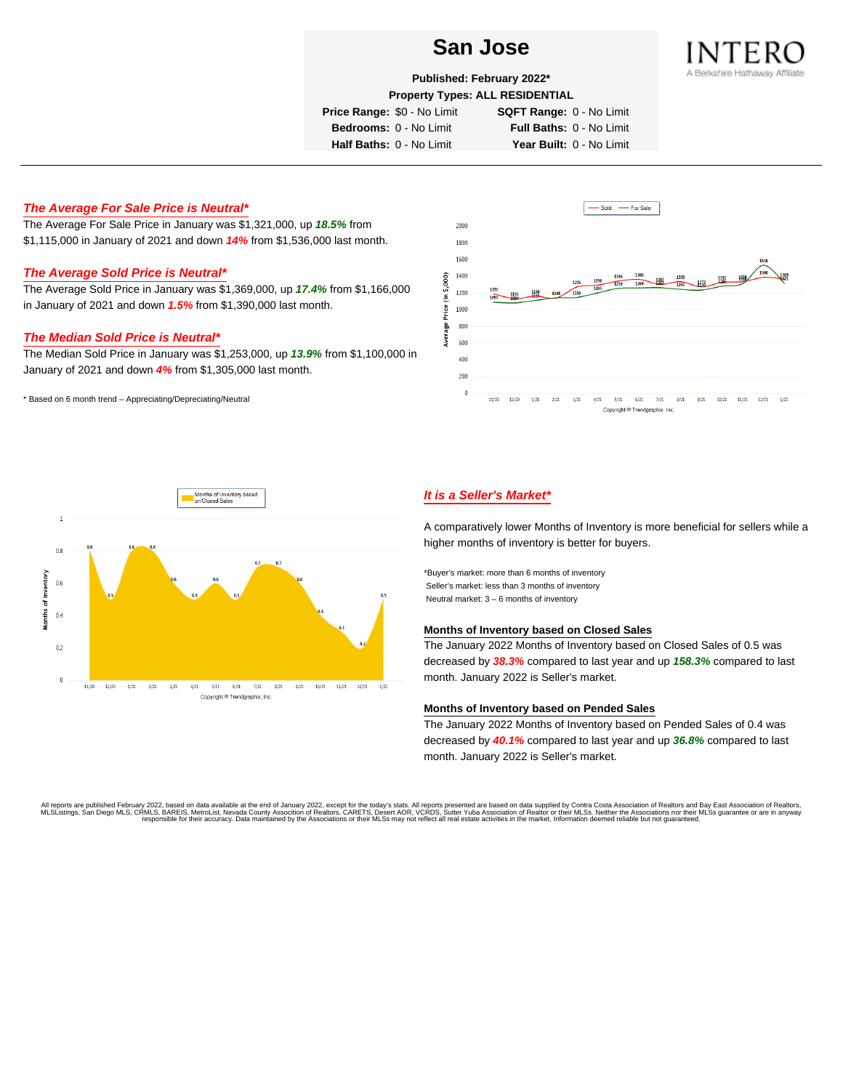

**Published: February 2022\***

**Property Types: ALL RESIDENTIAL**

**Price Range:** \$0 - No Limit **SQFT Range:** 0 - No Limit

**Bedrooms:** 0 - No Limit **Full Baths:** 0 - No Limit **Half Baths:** 0 - No Limit **Year Built:** 0 - No Limit

# **The Average For Sale Price is Neutral\***

The Average For Sale Price in January was \$1,321,000, up **18.5%** from \$1,115,000 in January of 2021 and down **14%** from \$1,536,000 last month.

### **The Average Sold Price is Neutral\***

The Average Sold Price in January was \$1,369,000, up **17.4%** from \$1,166,000 in January of 2021 and down **1.5%** from \$1,390,000 last month.

### **The Median Sold Price is Neutral\***

The Median Sold Price in January was \$1,253,000, up **13.9%** from \$1,100,000 in January of 2021 and down **4%** from \$1,305,000 last month.

\* Based on 6 month trend – Appreciating/Depreciating/Neutral





## **It is a Seller's Market\***

A comparatively lower Months of Inventory is more beneficial for sellers while a higher months of inventory is better for buyers.

\*Buyer's market: more than 6 months of inventory Seller's market: less than 3 months of inventory Neutral market: 3 – 6 months of inventory

### **Months of Inventory based on Closed Sales**

The January 2022 Months of Inventory based on Closed Sales of 0.5 was decreased by **38.3%** compared to last year and up **158.3%** compared to last month. January 2022 is Seller's market.

### **Months of Inventory based on Pended Sales**

The January 2022 Months of Inventory based on Pended Sales of 0.4 was decreased by **40.1%** compared to last year and up **36.8%** compared to last month. January 2022 is Seller's market.

All reports are published February 2022, based on data available at the end of January 2022, except for the today's stats. All reports presented are based on data supplied by Contra Costa Association of Realtors, and beat responsible for their accuracy. Data maintained by the Associations or their MLSs may not reflect all real estate activities in the market. Information deemed reliable but not quaranteed